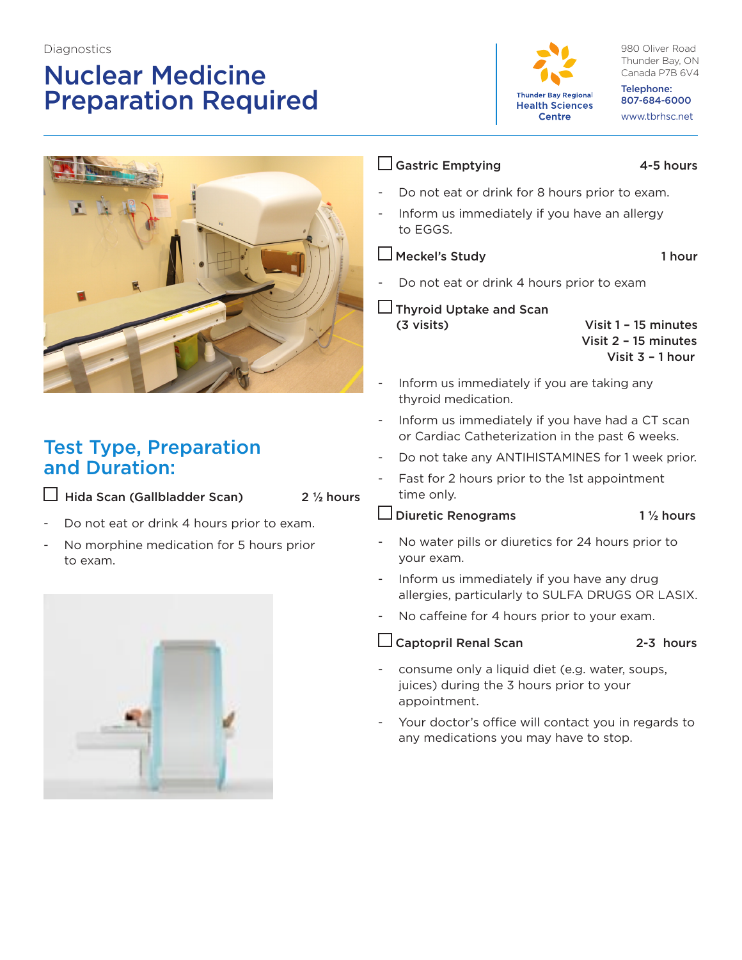#### **Diagnostics**

# Nuclear Medicine Preparation Required



980 Oliver Road Thunder Bay, ON Canada P7B 6V4

Telephone: 807-684-6000 www.tbrhsc.net



## Test Type, Preparation and Duration:

Hida Scan (Gallbladder Scan) 2 **½** hours

- Do not eat or drink 4 hours prior to exam.
- No morphine medication for 5 hours prior to exam.



### $\Box$  Gastric Emptying  $\Box$  4-5 hours

- Do not eat or drink for 8 hours prior to exam.
- Inform us immediately if you have an allergy to EGGS.

□ Meckel's Study 1 hour

Do not eat or drink 4 hours prior to exam

 $\Box$  Thyroid Uptake and Scan

 (3 visits) Visit 1 – 15 minutes Visit 2 – 15 minutes Visit 3 – 1 hour

- Inform us immediately if you are taking any thyroid medication.
- Inform us immediately if you have had a CT scan or Cardiac Catheterization in the past 6 weeks.
- Do not take any ANTIHISTAMINES for 1 week prior.
- Fast for 2 hours prior to the 1st appointment time only.

Diuretic Renograms 1 **½** hours

- No water pills or diuretics for 24 hours prior to your exam.
- Inform us immediately if you have any drug allergies, particularly to SULFA DRUGS OR LASIX.
- No caffeine for 4 hours prior to your exam.

 $\Box$  Captopril Renal Scan 2-3 hours

- 
- consume only a liquid diet (e.g. water, soups, juices) during the 3 hours prior to your appointment.
- Your doctor's office will contact you in regards to any medications you may have to stop.